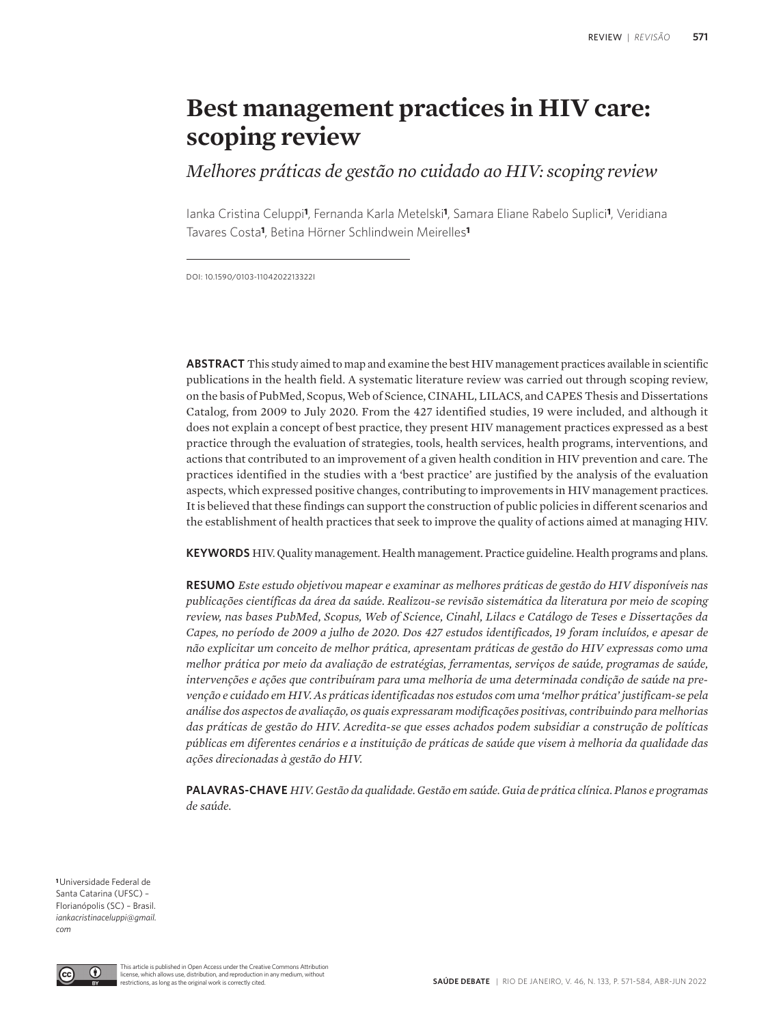# **Best management practices in HIV care: scoping review**

*Melhores práticas de gestão no cuidado ao HIV: scoping review*

Ianka Cristina Celuppi**1**, Fernanda Karla Metelski**1**, Samara Eliane Rabelo Suplici**1**, Veridiana Tavares Costa**1**, Betina Hörner Schlindwein Meirelles**<sup>1</sup>**

DOI: 10.1590/0103-1104202213322I

**ABSTRACT** This study aimed to map and examine the best HIV management practices available in scientific publications in the health field. A systematic literature review was carried out through scoping review, on the basis of PubMed, Scopus, Web of Science, CINAHL, LILACS, and CAPES Thesis and Dissertations Catalog, from 2009 to July 2020. From the 427 identified studies, 19 were included, and although it does not explain a concept of best practice, they present HIV management practices expressed as a best practice through the evaluation of strategies, tools, health services, health programs, interventions, and actions that contributed to an improvement of a given health condition in HIV prevention and care. The practices identified in the studies with a 'best practice' are justified by the analysis of the evaluation aspects, which expressed positive changes, contributing to improvements in HIV management practices. It is believed that these findings can support the construction of public policies in different scenarios and the establishment of health practices that seek to improve the quality of actions aimed at managing HIV.

**KEYWORDS** HIV. Quality management. Health management. Practice guideline. Health programs and plans.

**RESUMO** *Este estudo objetivou mapear e examinar as melhores práticas de gestão do HIV disponíveis nas publicações científicas da área da saúde. Realizou-se revisão sistemática da literatura por meio de scoping review, nas bases PubMed, Scopus, Web of Science, Cinahl, Lilacs e Catálogo de Teses e Dissertações da Capes, no período de 2009 a julho de 2020. Dos 427 estudos identificados, 19 foram incluídos, e apesar de não explicitar um conceito de melhor prática, apresentam práticas de gestão do HIV expressas como uma melhor prática por meio da avaliação de estratégias, ferramentas, serviços de saúde, programas de saúde, intervenções e ações que contribuíram para uma melhoria de uma determinada condição de saúde na prevenção e cuidado em HIV. As práticas identificadas nos estudos com uma 'melhor prática' justificam-se pela análise dos aspectos de avaliação, os quais expressaram modificações positivas, contribuindo para melhorias das práticas de gestão do HIV. Acredita-se que esses achados podem subsidiar a construção de políticas públicas em diferentes cenários e a instituição de práticas de saúde que visem à melhoria da qualidade das ações direcionadas à gestão do HIV.* 

**PALAVRAS-CHAVE** *HIV. Gestão da qualidade. Gestão em saúde. Guia de prática clínica. Planos e programas de saúde.*

**<sup>1</sup>**Universidade Federal de Santa Catarina (UFSC) – Florianópolis (SC) – Brasil. *iankacristinaceluppi@gmail. com*

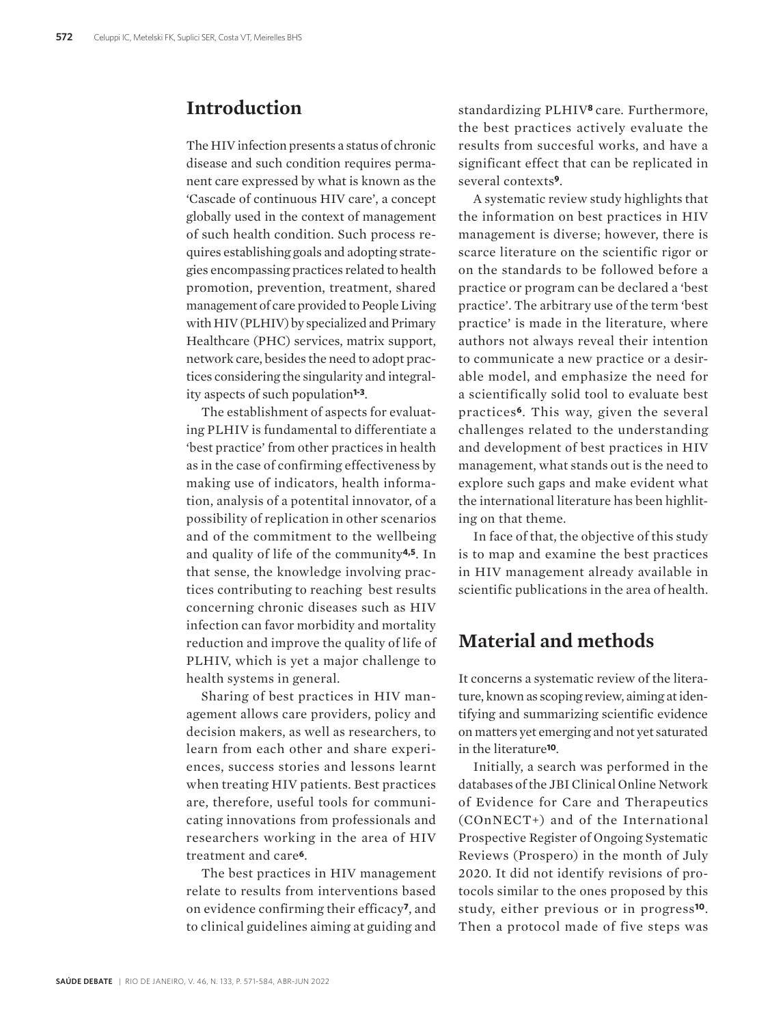### **Introduction**

The HIV infection presents a status of chronic disease and such condition requires permanent care expressed by what is known as the 'Cascade of continuous HIV care', a concept globally used in the context of management of such health condition. Such process requires establishing goals and adopting strategies encompassing practices related to health promotion, prevention, treatment, shared management of care provided to People Living with HIV (PLHIV) by specialized and Primary Healthcare (PHC) services, matrix support, network care, besides the need to adopt practices considering the singularity and integrality aspects of such population**1-3**.

The establishment of aspects for evaluating PLHIV is fundamental to differentiate a 'best practice' from other practices in health as in the case of confirming effectiveness by making use of indicators, health information, analysis of a potentital innovator, of a possibility of replication in other scenarios and of the commitment to the wellbeing and quality of life of the community**4,5**. In that sense, the knowledge involving practices contributing to reaching best results concerning chronic diseases such as HIV infection can favor morbidity and mortality reduction and improve the quality of life of PLHIV, which is yet a major challenge to health systems in general.

Sharing of best practices in HIV management allows care providers, policy and decision makers, as well as researchers, to learn from each other and share experiences, success stories and lessons learnt when treating HIV patients. Best practices are, therefore, useful tools for communicating innovations from professionals and researchers working in the area of HIV treatment and care**6**.

The best practices in HIV management relate to results from interventions based on evidence confirming their efficacy**7**, and to clinical guidelines aiming at guiding and

standardizing PLHIV**8** care. Furthermore, the best practices actively evaluate the results from succesful works, and have a significant effect that can be replicated in several contexts**9**.

A systematic review study highlights that the information on best practices in HIV management is diverse; however, there is scarce literature on the scientific rigor or on the standards to be followed before a practice or program can be declared a 'best practice'. The arbitrary use of the term 'best practice' is made in the literature, where authors not always reveal their intention to communicate a new practice or a desirable model, and emphasize the need for a scientifically solid tool to evaluate best practices**6**. This way, given the several challenges related to the understanding and development of best practices in HIV management, what stands out is the need to explore such gaps and make evident what the international literature has been highliting on that theme.

In face of that, the objective of this study is to map and examine the best practices in HIV management already available in scientific publications in the area of health.

## **Material and methods**

It concerns a systematic review of the literature, known as scoping review, aiming at identifying and summarizing scientific evidence on matters yet emerging and not yet saturated in the literature**10**.

Initially, a search was performed in the databases of the JBI Clinical Online Network of Evidence for Care and Therapeutics (COnNECT+) and of the International Prospective Register of Ongoing Systematic Reviews (Prospero) in the month of July 2020. It did not identify revisions of protocols similar to the ones proposed by this study, either previous or in progress**10**. Then a protocol made of five steps was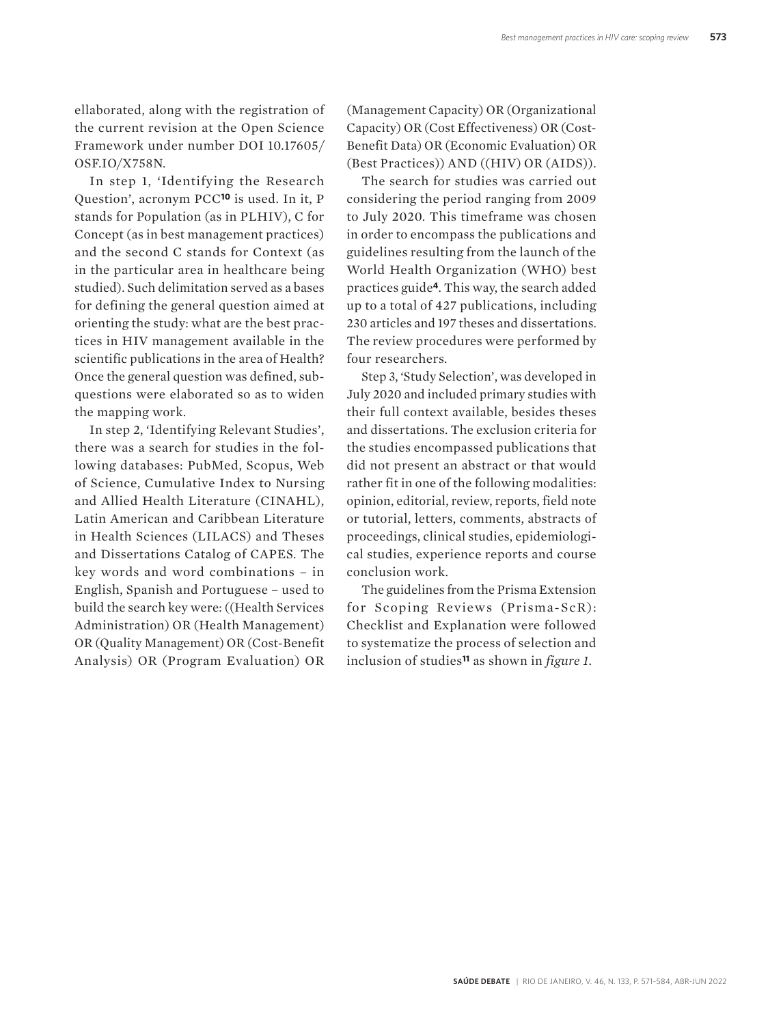ellaborated, along with the registration of the current revision at the Open Science Framework under number DOI 10.17605/ OSF.IO/X758N.

In step 1, 'Identifying the Research Question', acronym PCC**10** is used. In it, P stands for Population (as in PLHIV), C for Concept (as in best management practices) and the second C stands for Context (as in the particular area in healthcare being studied). Such delimitation served as a bases for defining the general question aimed at orienting the study: what are the best practices in HIV management available in the scientific publications in the area of Health? Once the general question was defined, subquestions were elaborated so as to widen the mapping work.

In step 2, 'Identifying Relevant Studies', there was a search for studies in the following databases: PubMed, Scopus, Web of Science, Cumulative Index to Nursing and Allied Health Literature (CINAHL), Latin American and Caribbean Literature in Health Sciences (LILACS) and Theses and Dissertations Catalog of CAPES. The key words and word combinations – in English, Spanish and Portuguese – used to build the search key were: ((Health Services Administration) OR (Health Management) OR (Quality Management) OR (Cost-Benefit Analysis) OR (Program Evaluation) OR

(Management Capacity) OR (Organizational Capacity) OR (Cost Effectiveness) OR (Cost-Benefit Data) OR (Economic Evaluation) OR (Best Practices)) AND ((HIV) OR (AIDS)).

The search for studies was carried out considering the period ranging from 2009 to July 2020. This timeframe was chosen in order to encompass the publications and guidelines resulting from the launch of the World Health Organization (WHO) best practices guide**4**. This way, the search added up to a total of 427 publications, including 230 articles and 197 theses and dissertations. The review procedures were performed by four researchers.

Step 3, 'Study Selection', was developed in July 2020 and included primary studies with their full context available, besides theses and dissertations. The exclusion criteria for the studies encompassed publications that did not present an abstract or that would rather fit in one of the following modalities: opinion, editorial, review, reports, field note or tutorial, letters, comments, abstracts of proceedings, clinical studies, epidemiological studies, experience reports and course conclusion work.

The guidelines from the Prisma Extension for Scoping Reviews (Prisma-ScR): Checklist and Explanation were followed to systematize the process of selection and inclusion of studies**11** as shown in *figure 1.*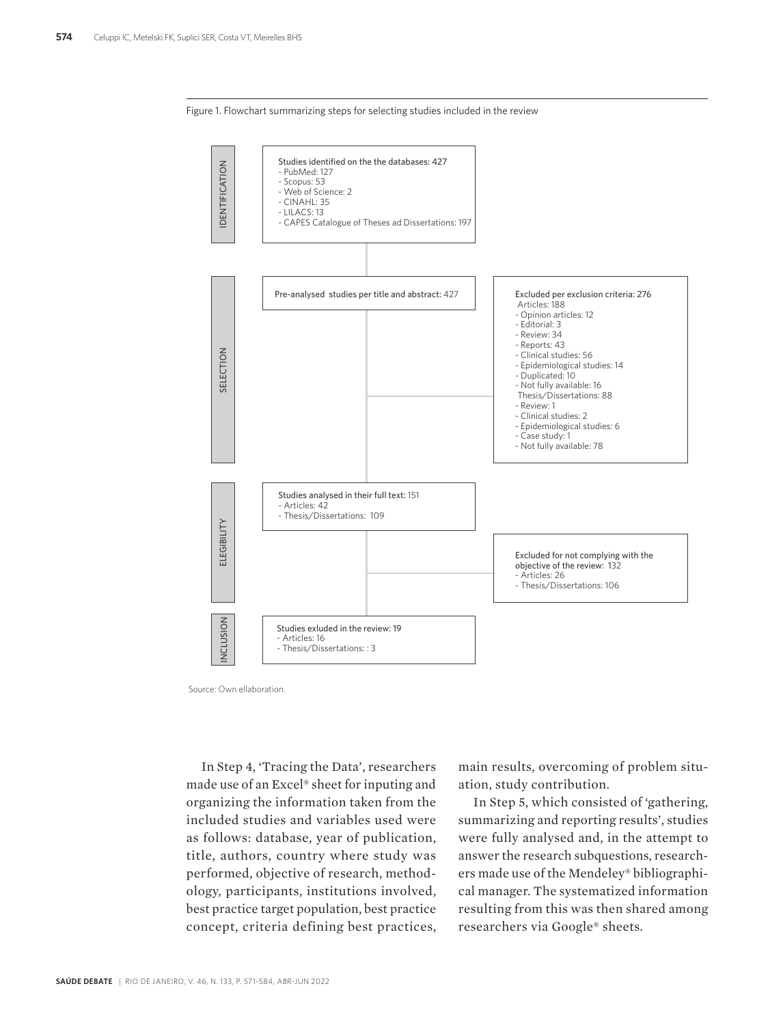



Source: Own ellaboration.

In Step 4, 'Tracing the Data', researchers made use of an Excel® sheet for inputing and organizing the information taken from the included studies and variables used were as follows: database, year of publication, title, authors, country where study was performed, objective of research, methodology, participants, institutions involved, best practice target population, best practice concept, criteria defining best practices, main results, overcoming of problem situation, study contribution.

In Step 5, which consisted of 'gathering, summarizing and reporting results', studies were fully analysed and, in the attempt to answer the research subquestions, researchers made use of the Mendeley® bibliographical manager. The systematized information resulting from this was then shared among researchers via Google® sheets.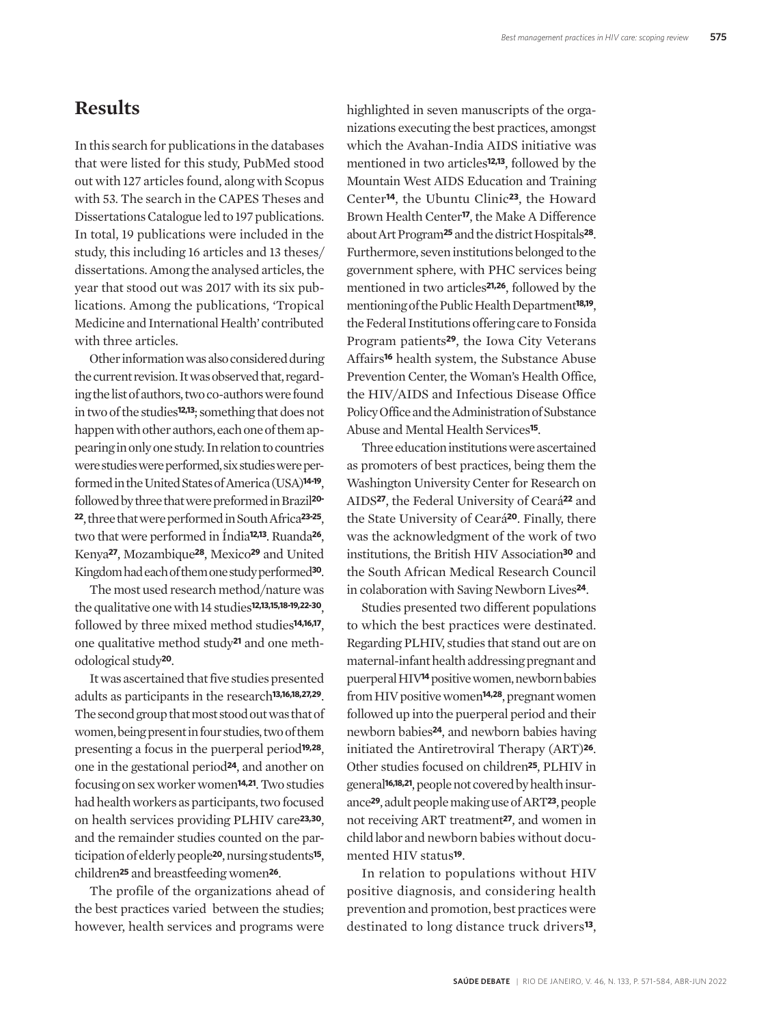### **Results**

In this search for publications in the databases that were listed for this study, PubMed stood out with 127 articles found, along with Scopus with 53. The search in the CAPES Theses and Dissertations Catalogue led to 197 publications. In total, 19 publications were included in the study, this including 16 articles and 13 theses/ dissertations. Among the analysed articles, the year that stood out was 2017 with its six publications. Among the publications, 'Tropical Medicine and International Health' contributed with three articles.

Other information was also considered during the current revision. It was observed that, regarding the list of authors, two co-authors were found in two of the studies**12,13**; something that does not happen with other authors, each one of them appearing in only one study. In relation to countries were studies were performed, six studies were performed in the United States of America (USA)**14-19**, followed by three that were preformed in Brazil**20- <sup>22</sup>**, three that were performed in South Africa**23-25**, two that were performed in Índia**12,13**. Ruanda**26**, Kenya**27**, Mozambique**28**, Mexico**29** and United Kingdom had each of them one study performed**30**.

The most used research method/nature was the qualitative one with 14 studies**12,13,15,18-19,22-30**, followed by three mixed method studies**14,16,17**, one qualitative method study**21** and one methodological study**20**.

It was ascertained that five studies presented adults as participants in the research**13,16,18,27,29**. The second group that most stood out was that of women, being present in four studies, two of them presenting a focus in the puerperal period**19,28**, one in the gestational period**24**, and another on focusing on sex worker women**14,21**. Two studies had health workers as participants, two focused on health services providing PLHIV care**23,30**, and the remainder studies counted on the participation of elderly people**20**, nursing students**15**, children**25** and breastfeeding women**26**.

The profile of the organizations ahead of the best practices varied between the studies; however, health services and programs were highlighted in seven manuscripts of the organizations executing the best practices, amongst which the Avahan-India AIDS initiative was mentioned in two articles**12,13**, followed by the Mountain West AIDS Education and Training Center**14**, the Ubuntu Clinic**23**, the Howard Brown Health Center**17**, the Make A Difference about Art Program**25** and the district Hospitals**28**. Furthermore, seven institutions belonged to the government sphere, with PHC services being mentioned in two articles**21,26**, followed by the mentioning of the Public Health Department**18,19**, the Federal Institutions offering care to Fonsida Program patients**29**, the Iowa City Veterans Affairs**16** health system, the Substance Abuse Prevention Center, the Woman's Health Office, the HIV/AIDS and Infectious Disease Office Policy Office and the Administration of Substance Abuse and Mental Health Services**15**.

Three education institutions were ascertained as promoters of best practices, being them the Washington University Center for Research on AIDS**27**, the Federal University of Ceará**22** and the State University of Ceará**20**. Finally, there was the acknowledgment of the work of two institutions, the British HIV Association**30** and the South African Medical Research Council in colaboration with Saving Newborn Lives**24**.

Studies presented two different populations to which the best practices were destinated. Regarding PLHIV, studies that stand out are on maternal-infant health addressing pregnant and puerperal HIV**14** positive women, newborn babies from HIV positive women**14,28**, pregnant women followed up into the puerperal period and their newborn babies**24**, and newborn babies having initiated the Antiretroviral Therapy (ART)**26**. Other studies focused on children**25**, PLHIV in general**16,18,21**, people not covered by health insurance**29**, adult people making use of ART**23**, people not receiving ART treatment**27**, and women in child labor and newborn babies without documented HIV status**19**.

In relation to populations without HIV positive diagnosis, and considering health prevention and promotion, best practices were destinated to long distance truck drivers**13**,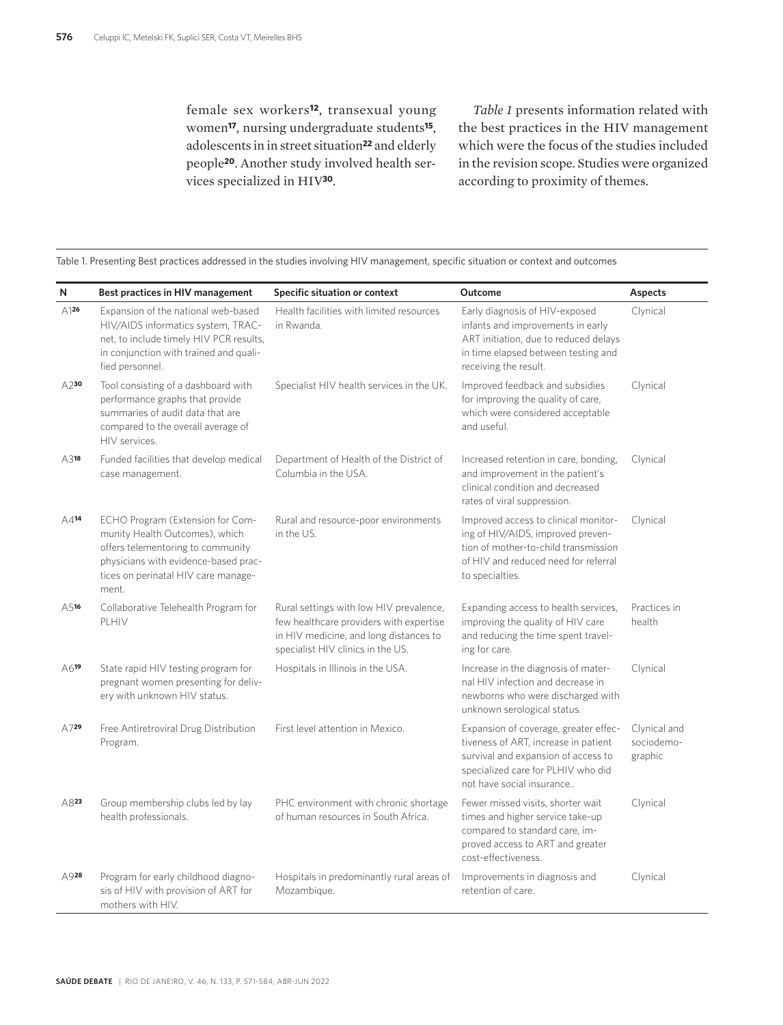female sex workers**12**, transexual young women**17**, nursing undergraduate students**15**, adolescents in in street situation**22** and elderly people**20**. Another study involved health services specialized in HIV**30**.

*Table 1* presents information related with the best practices in the HIV management which were the focus of the studies included in the revision scope. Studies were organized according to proximity of themes.

| N                  | Best practices in HIV management                                                                                                                                                                | Specific situation or context                                                                                                                                     | Outcome                                                                                                                                                                                 | Aspects                               |
|--------------------|-------------------------------------------------------------------------------------------------------------------------------------------------------------------------------------------------|-------------------------------------------------------------------------------------------------------------------------------------------------------------------|-----------------------------------------------------------------------------------------------------------------------------------------------------------------------------------------|---------------------------------------|
| A126               | Expansion of the national web-based<br>HIV/AIDS informatics system, TRAC-<br>net, to include timely HIV PCR results,<br>in conjunction with trained and quali-<br>fied personnel.               | Health facilities with limited resources<br>in Rwanda.                                                                                                            | Early diagnosis of HIV-exposed<br>infants and improvements in early<br>ART initiation, due to reduced delays<br>in time elapsed between testing and<br>receiving the result.            | Clynical                              |
| $A2$ 30            | Tool consisting of a dashboard with<br>performance graphs that provide<br>summaries of audit data that are<br>compared to the overall average of<br>HIV services.                               | Specialist HIV health services in the UK.                                                                                                                         | Improved feedback and subsidies<br>for improving the quality of care,<br>which were considered acceptable<br>and useful.                                                                | Clynical                              |
| $A3$ <sup>18</sup> | Funded facilities that develop medical<br>case management.                                                                                                                                      | Department of Health of the District of<br>Columbia in the USA.                                                                                                   | Increased retention in care, bonding,<br>and improvement in the patient's<br>clinical condition and decreased<br>rates of viral suppression.                                            | Clynical                              |
| A414               | ECHO Program (Extension for Com-<br>munity Health Outcomes), which<br>offers telementoring to community<br>physicians with evidence-based prac-<br>tices on perinatal HIV care manage-<br>ment. | Rural and resource-poor environments<br>in the US.                                                                                                                | Improved access to clinical monitor-<br>ing of HIV/AIDS, improved preven-<br>tion of mother-to-child transmission<br>of HIV and reduced need for referral<br>to specialties.            | Clynical                              |
| A516               | Collaborative Telehealth Program for<br>PLHIV                                                                                                                                                   | Rural settings with low HIV prevalence,<br>few healthcare providers with expertise<br>in HIV medicine, and long distances to<br>specialist HIV clinics in the US. | Expanding access to health services,<br>improving the quality of HIV care<br>and reducing the time spent travel-<br>ing for care.                                                       | Practices in<br>health                |
| $A6$ <sup>19</sup> | State rapid HIV testing program for<br>pregnant women presenting for deliv-<br>ery with unknown HIV status.                                                                                     | Hospitals in Illinois in the USA.                                                                                                                                 | Increase in the diagnosis of mater-<br>nal HIV infection and decrease in<br>newborns who were discharged with<br>unknown serological status.                                            | Clynical                              |
| A729               | Free Antiretroviral Drug Distribution<br>Program.                                                                                                                                               | First level attention in Mexico.                                                                                                                                  | Expansion of coverage, greater effec-<br>tiveness of ART, increase in patient<br>survival and expansion of access to<br>specialized care for PLHIV who did<br>not have social insurance | Clynical and<br>sociodemo-<br>graphic |
| $A8$ <sup>23</sup> | Group membership clubs led by lay<br>health professionals.                                                                                                                                      | PHC environment with chronic shortage<br>of human resources in South Africa.                                                                                      | Fewer missed visits, shorter wait<br>times and higher service take-up<br>compared to standard care, im-<br>proved access to ART and greater<br>cost-effectiveness.                      | Clynical                              |
| A928               | Program for early childhood diagno-<br>sis of HIV with provision of ART for<br>mothers with HIV.                                                                                                | Hospitals in predominantly rural areas of<br>Mozambique.                                                                                                          | Improvements in diagnosis and<br>retention of care.                                                                                                                                     | Clynical                              |

Table 1. Presenting Best practices addressed in the studies involving HIV management, specific situation or context and outcomes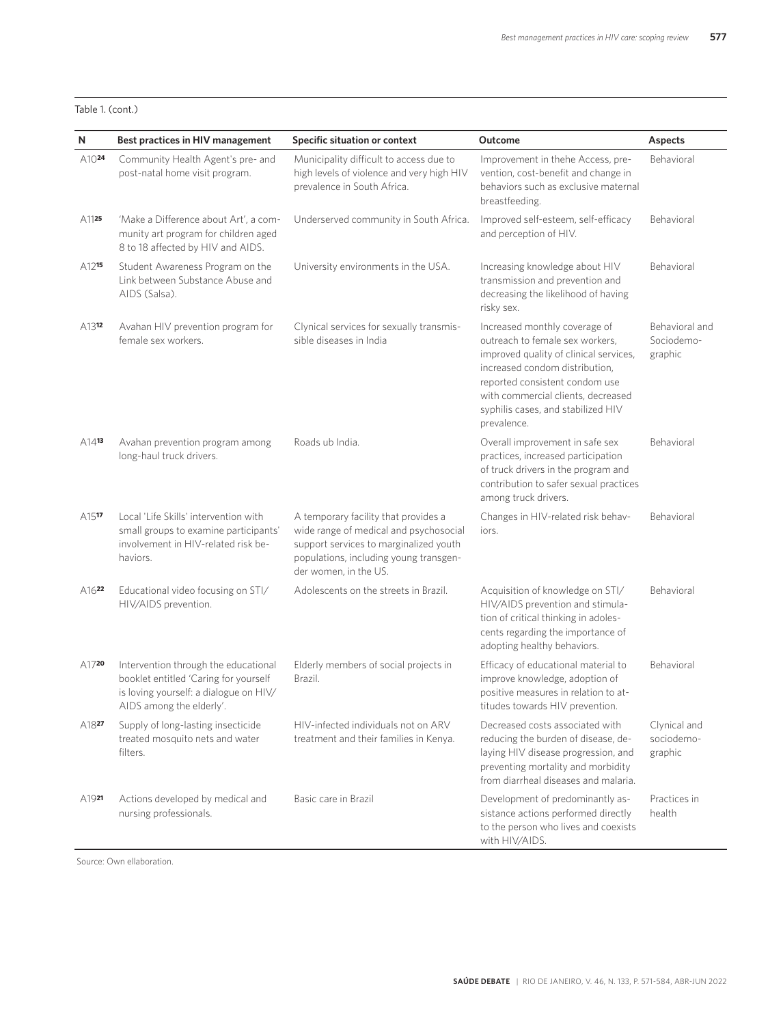#### Table 1. (cont.)

| N                  | Best practices in HIV management                                                                                                                    | Specific situation or context                                                                                                                                                               | <b>Outcome</b>                                                                                                                                                                                                                                                            | Aspects                                 |
|--------------------|-----------------------------------------------------------------------------------------------------------------------------------------------------|---------------------------------------------------------------------------------------------------------------------------------------------------------------------------------------------|---------------------------------------------------------------------------------------------------------------------------------------------------------------------------------------------------------------------------------------------------------------------------|-----------------------------------------|
| A10 <sup>24</sup>  | Community Health Agent's pre- and<br>post-natal home visit program.                                                                                 | Municipality difficult to access due to<br>high levels of violence and very high HIV<br>prevalence in South Africa.                                                                         | Improvement in thehe Access, pre-<br>vention, cost-benefit and change in<br>behaviors such as exclusive maternal<br>breastfeeding.                                                                                                                                        | Behavioral                              |
| A1125              | 'Make a Difference about Art', a com-<br>munity art program for children aged<br>8 to 18 affected by HIV and AIDS.                                  | Underserved community in South Africa.                                                                                                                                                      | Improved self-esteem, self-efficacy<br>and perception of HIV.                                                                                                                                                                                                             | Behavioral                              |
| A1215              | Student Awareness Program on the<br>Link between Substance Abuse and<br>AIDS (Salsa).                                                               | University environments in the USA.                                                                                                                                                         | Increasing knowledge about HIV<br>transmission and prevention and<br>decreasing the likelihood of having<br>risky sex.                                                                                                                                                    | Behavioral                              |
| A1312              | Avahan HIV prevention program for<br>female sex workers.                                                                                            | Clynical services for sexually transmis-<br>sible diseases in India                                                                                                                         | Increased monthly coverage of<br>outreach to female sex workers,<br>improved quality of clinical services,<br>increased condom distribution,<br>reported consistent condom use<br>with commercial clients, decreased<br>syphilis cases, and stabilized HIV<br>prevalence. | Behavioral and<br>Sociodemo-<br>graphic |
| A1413              | Avahan prevention program among<br>long-haul truck drivers.                                                                                         | Roads ub India.                                                                                                                                                                             | Overall improvement in safe sex<br>practices, increased participation<br>of truck drivers in the program and<br>contribution to safer sexual practices<br>among truck drivers.                                                                                            | Behavioral                              |
| A <sub>15</sub> 17 | Local 'Life Skills' intervention with<br>small groups to examine participants'<br>involvement in HIV-related risk be-<br>haviors.                   | A temporary facility that provides a<br>wide range of medical and psychosocial<br>support services to marginalized youth<br>populations, including young transgen-<br>der women, in the US. | Changes in HIV-related risk behav-<br>iors.                                                                                                                                                                                                                               | Behavioral                              |
| A1622              | Educational video focusing on STI/<br>HIV/AIDS prevention.                                                                                          | Adolescents on the streets in Brazil.                                                                                                                                                       | Acquisition of knowledge on STI/<br>HIV/AIDS prevention and stimula-<br>tion of critical thinking in adoles-<br>cents regarding the importance of<br>adopting healthy behaviors.                                                                                          | Behavioral                              |
| A1720              | Intervention through the educational<br>booklet entitled 'Caring for yourself<br>is loving yourself: a dialogue on HIV/<br>AIDS among the elderly'. | Elderly members of social projects in<br>Brazil.                                                                                                                                            | Efficacy of educational material to<br>improve knowledge, adoption of<br>positive measures in relation to at-<br>titudes towards HIV prevention.                                                                                                                          | Behavioral                              |
| A1827              | Supply of long-lasting insecticide<br>treated mosquito nets and water<br>filters.                                                                   | HIV-infected individuals not on ARV<br>treatment and their families in Kenya.                                                                                                               | Decreased costs associated with<br>reducing the burden of disease, de-<br>laying HIV disease progression, and<br>preventing mortality and morbidity<br>from diarrheal diseases and malaria.                                                                               | Clynical and<br>sociodemo-<br>graphic   |
| A1921              | Actions developed by medical and<br>nursing professionals.                                                                                          | Basic care in Brazil                                                                                                                                                                        | Development of predominantly as-<br>sistance actions performed directly<br>to the person who lives and coexists<br>with HIV/AIDS.                                                                                                                                         | Practices in<br>health                  |

Source: Own ellaboration.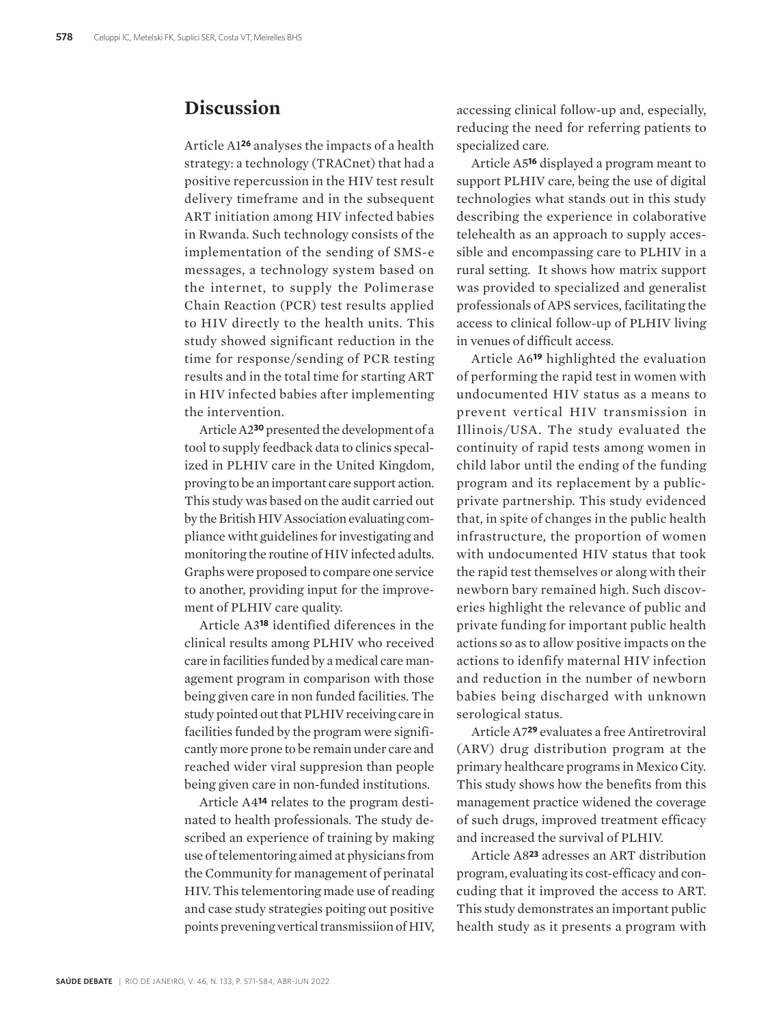## **Discussion**

Article A1**26** analyses the impacts of a health strategy: a technology (TRACnet) that had a positive repercussion in the HIV test result delivery timeframe and in the subsequent ART initiation among HIV infected babies in Rwanda. Such technology consists of the implementation of the sending of SMS-e messages, a technology system based on the internet, to supply the Polimerase Chain Reaction (PCR) test results applied to HIV directly to the health units. This study showed significant reduction in the time for response/sending of PCR testing results and in the total time for starting ART in HIV infected babies after implementing the intervention.

Article A2**30** presented the development of a tool to supply feedback data to clinics specalized in PLHIV care in the United Kingdom, proving to be an important care support action. This study was based on the audit carried out by the British HIV Association evaluating compliance witht guidelines for investigating and monitoring the routine of HIV infected adults. Graphs were proposed to compare one service to another, providing input for the improvement of PLHIV care quality.

Article A3**18** identified diferences in the clinical results among PLHIV who received care in facilities funded by a medical care management program in comparison with those being given care in non funded facilities. The study pointed out that PLHIV receiving care in facilities funded by the program were significantly more prone to be remain under care and reached wider viral suppresion than people being given care in non-funded institutions.

Article A4**14** relates to the program destinated to health professionals. The study described an experience of training by making use of telementoring aimed at physicians from the Community for management of perinatal HIV. This telementoring made use of reading and case study strategies poiting out positive points prevening vertical transmissiion of HIV, accessing clinical follow-up and, especially, reducing the need for referring patients to specialized care.

Article A5**16** displayed a program meant to support PLHIV care, being the use of digital technologies what stands out in this study describing the experience in colaborative telehealth as an approach to supply accessible and encompassing care to PLHIV in a rural setting. It shows how matrix support was provided to specialized and generalist professionals of APS services, facilitating the access to clinical follow-up of PLHIV living in venues of difficult access.

Article A6**19** highlighted the evaluation of performing the rapid test in women with undocumented HIV status as a means to prevent vertical HIV transmission in Illinois/USA. The study evaluated the continuity of rapid tests among women in child labor until the ending of the funding program and its replacement by a publicprivate partnership. This study evidenced that, in spite of changes in the public health infrastructure, the proportion of women with undocumented HIV status that took the rapid test themselves or along with their newborn bary remained high. Such discoveries highlight the relevance of public and private funding for important public health actions so as to allow positive impacts on the actions to idenfify maternal HIV infection and reduction in the number of newborn babies being discharged with unknown serological status.

Article A7**29** evaluates a free Antiretroviral (ARV) drug distribution program at the primary healthcare programs in Mexico City. This study shows how the benefits from this management practice widened the coverage of such drugs, improved treatment efficacy and increased the survival of PLHIV.

Article A8**23** adresses an ART distribution program, evaluating its cost-efficacy and concuding that it improved the access to ART. This study demonstrates an important public health study as it presents a program with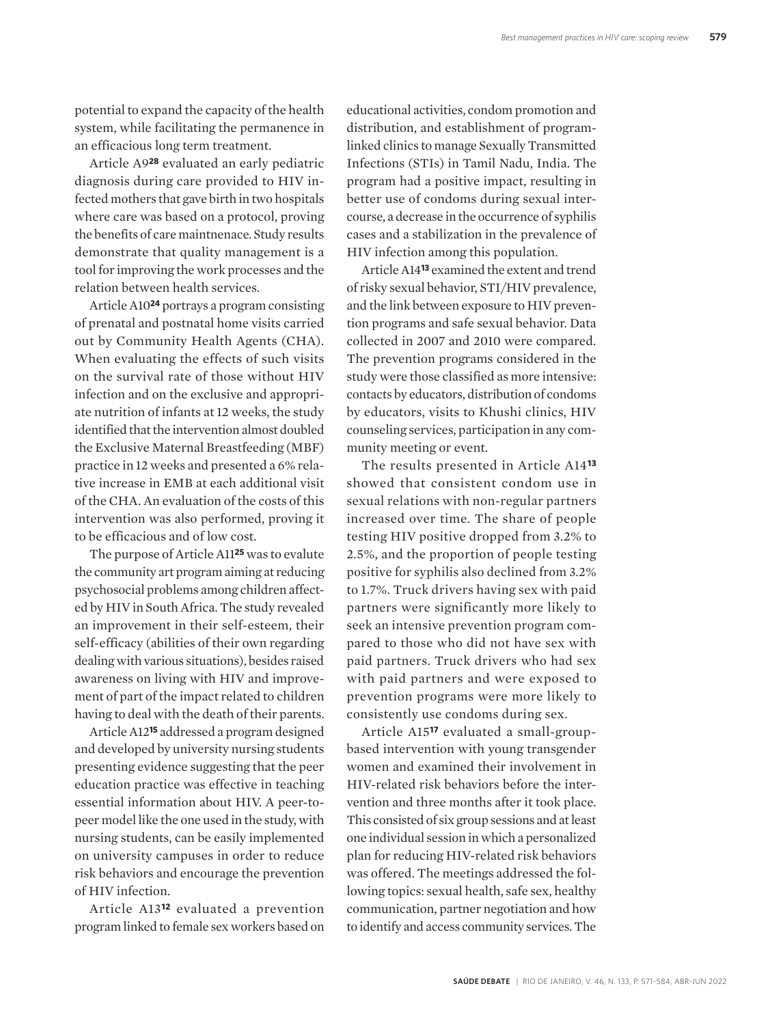potential to expand the capacity of the health system, while facilitating the permanence in an efficacious long term treatment.

Article A9**28** evaluated an early pediatric diagnosis during care provided to HIV infected mothers that gave birth in two hospitals where care was based on a protocol, proving the benefits of care maintnenace. Study results demonstrate that quality management is a tool for improving the work processes and the relation between health services.

Article A10**24** portrays a program consisting of prenatal and postnatal home visits carried out by Community Health Agents (CHA). When evaluating the effects of such visits on the survival rate of those without HIV infection and on the exclusive and appropriate nutrition of infants at 12 weeks, the study identified that the intervention almost doubled the Exclusive Maternal Breastfeeding (MBF) practice in 12 weeks and presented a 6% relative increase in EMB at each additional visit of the CHA. An evaluation of the costs of this intervention was also performed, proving it to be efficacious and of low cost.

The purpose of Article A11**25** was to evalute the community art program aiming at reducing psychosocial problems among children affected by HIV in South Africa. The study revealed an improvement in their self-esteem, their self-efficacy (abilities of their own regarding dealing with various situations), besides raised awareness on living with HIV and improvement of part of the impact related to children having to deal with the death of their parents.

Article A12**15** addressed a program designed and developed by university nursing students presenting evidence suggesting that the peer education practice was effective in teaching essential information about HIV. A peer-topeer model like the one used in the study, with nursing students, can be easily implemented on university campuses in order to reduce risk behaviors and encourage the prevention of HIV infection.

Article A13**12** evaluated a prevention program linked to female sex workers based on educational activities, condom promotion and distribution, and establishment of programlinked clinics to manage Sexually Transmitted Infections (STIs) in Tamil Nadu, India. The program had a positive impact, resulting in better use of condoms during sexual intercourse, a decrease in the occurrence of syphilis cases and a stabilization in the prevalence of HIV infection among this population.

Article A14**13** examined the extent and trend of risky sexual behavior, STI/HIV prevalence, and the link between exposure to HIV prevention programs and safe sexual behavior. Data collected in 2007 and 2010 were compared. The prevention programs considered in the study were those classified as more intensive: contacts by educators, distribution of condoms by educators, visits to Khushi clinics, HIV counseling services, participation in any community meeting or event.

The results presented in Article A14**<sup>13</sup>** showed that consistent condom use in sexual relations with non-regular partners increased over time. The share of people testing HIV positive dropped from 3.2% to 2.5%, and the proportion of people testing positive for syphilis also declined from 3.2% to 1.7%. Truck drivers having sex with paid partners were significantly more likely to seek an intensive prevention program compared to those who did not have sex with paid partners. Truck drivers who had sex with paid partners and were exposed to prevention programs were more likely to consistently use condoms during sex.

Article A15**17** evaluated a small-groupbased intervention with young transgender women and examined their involvement in HIV-related risk behaviors before the intervention and three months after it took place. This consisted of six group sessions and at least one individual session in which a personalized plan for reducing HIV-related risk behaviors was offered. The meetings addressed the following topics: sexual health, safe sex, healthy communication, partner negotiation and how to identify and access community services. The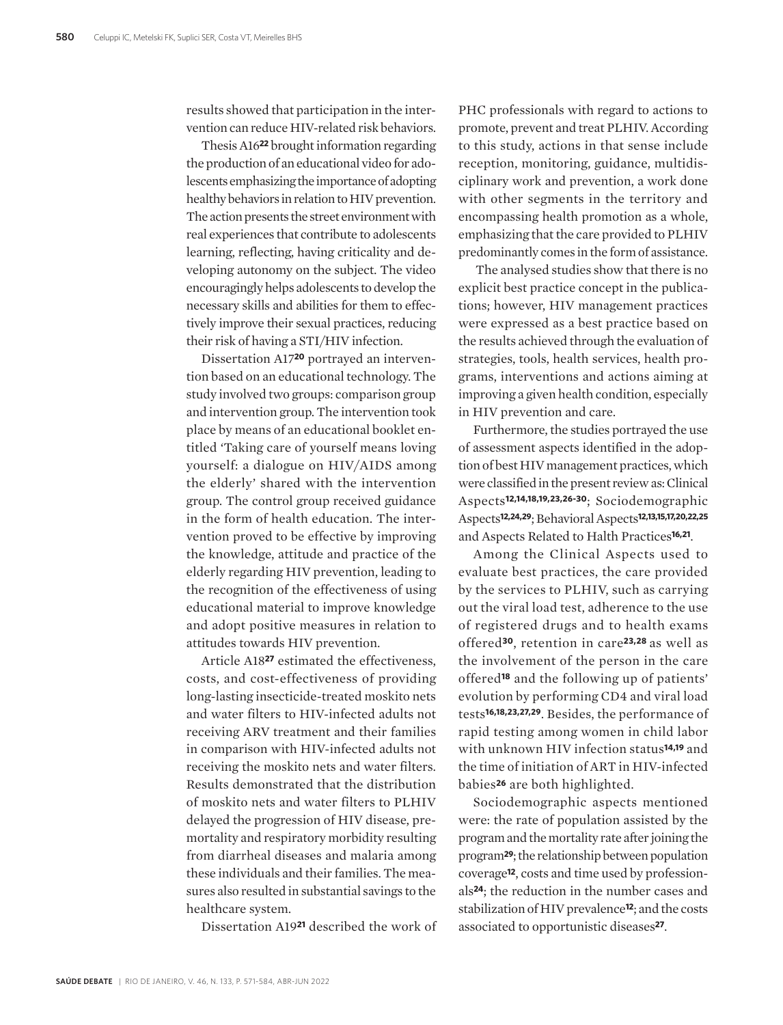results showed that participation in the intervention can reduce HIV-related risk behaviors.

Thesis A16**22** brought information regarding the production of an educational video for adolescents emphasizing the importance of adopting healthy behaviors in relation to HIV prevention. The action presents the street environment with real experiences that contribute to adolescents learning, reflecting, having criticality and developing autonomy on the subject. The video encouragingly helps adolescents to develop the necessary skills and abilities for them to effectively improve their sexual practices, reducing their risk of having a STI/HIV infection.

Dissertation A17**20** portrayed an intervention based on an educational technology. The study involved two groups: comparison group and intervention group. The intervention took place by means of an educational booklet entitled 'Taking care of yourself means loving yourself: a dialogue on HIV/AIDS among the elderly' shared with the intervention group. The control group received guidance in the form of health education. The intervention proved to be effective by improving the knowledge, attitude and practice of the elderly regarding HIV prevention, leading to the recognition of the effectiveness of using educational material to improve knowledge and adopt positive measures in relation to attitudes towards HIV prevention.

Article A18**27** estimated the effectiveness, costs, and cost-effectiveness of providing long-lasting insecticide-treated moskito nets and water filters to HIV-infected adults not receiving ARV treatment and their families in comparison with HIV-infected adults not receiving the moskito nets and water filters. Results demonstrated that the distribution of moskito nets and water filters to PLHIV delayed the progression of HIV disease, premortality and respiratory morbidity resulting from diarrheal diseases and malaria among these individuals and their families. The measures also resulted in substantial savings to the healthcare system.

Dissertation A19**21** described the work of

PHC professionals with regard to actions to promote, prevent and treat PLHIV. According to this study, actions in that sense include reception, monitoring, guidance, multidisciplinary work and prevention, a work done with other segments in the territory and encompassing health promotion as a whole, emphasizing that the care provided to PLHIV predominantly comes in the form of assistance.

 The analysed studies show that there is no explicit best practice concept in the publications; however, HIV management practices were expressed as a best practice based on the results achieved through the evaluation of strategies, tools, health services, health programs, interventions and actions aiming at improving a given health condition, especially in HIV prevention and care.

Furthermore, the studies portrayed the use of assessment aspects identified in the adoption of best HIV management practices, which were classified in the present review as: Clinical Aspects**12,14,18,19,23,26-30**; Sociodemographic Aspects**12,24,29**; Behavioral Aspects**12,13,15,17,20,22,25** and Aspects Related to Halth Practices**16,21**.

Among the Clinical Aspects used to evaluate best practices, the care provided by the services to PLHIV, such as carrying out the viral load test, adherence to the use of registered drugs and to health exams offered**30**, retention in care**23,28** as well as the involvement of the person in the care offered**18** and the following up of patients' evolution by performing CD4 and viral load tests**16,18,23,27,29**. Besides, the performance of rapid testing among women in child labor with unknown HIV infection status**14,19** and the time of initiation of ART in HIV-infected babies**26** are both highlighted.

Sociodemographic aspects mentioned were: the rate of population assisted by the program and the mortality rate after joining the program**29**; the relationship between population coverage**12**, costs and time used by professionals**24**; the reduction in the number cases and stabilization of HIV prevalence**12**; and the costs associated to opportunistic diseases**27**.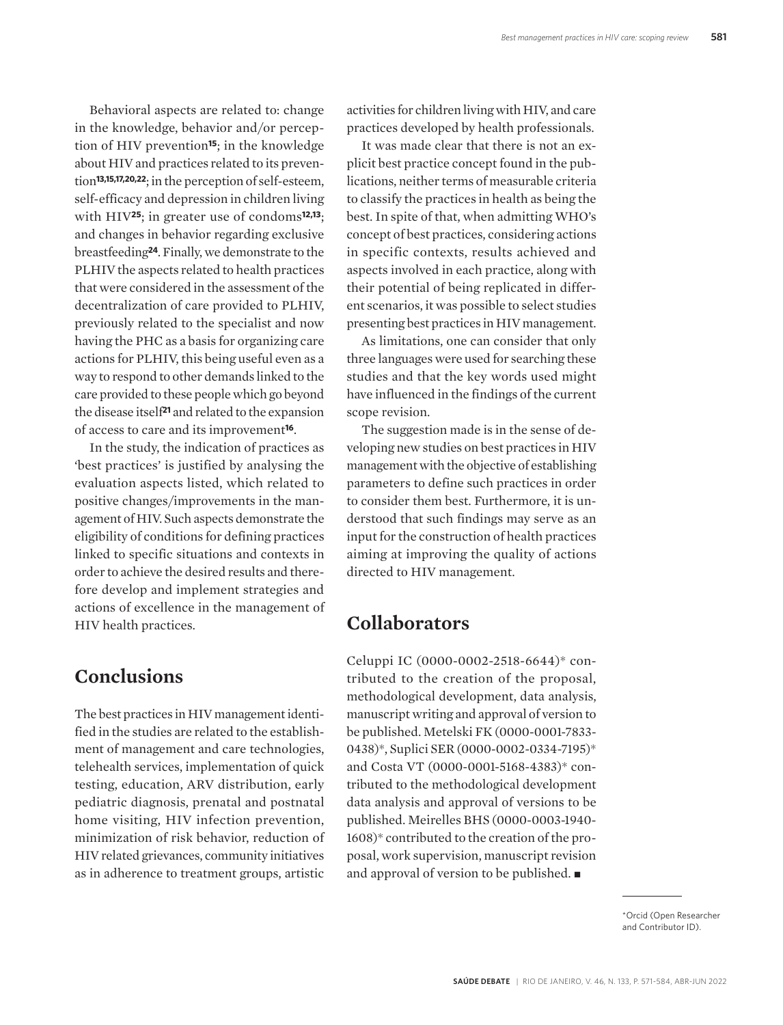Behavioral aspects are related to: change in the knowledge, behavior and/or perception of HIV prevention**15**; in the knowledge about HIV and practices related to its prevention**13,15,17,20,22**; in the perception of self-esteem, self-efficacy and depression in children living with HIV**25**; in greater use of condoms**12,13**; and changes in behavior regarding exclusive breastfeeding**24**. Finally, we demonstrate to the PLHIV the aspects related to health practices that were considered in the assessment of the decentralization of care provided to PLHIV, previously related to the specialist and now having the PHC as a basis for organizing care actions for PLHIV, this being useful even as a way to respond to other demands linked to the care provided to these people which go beyond the disease itself**21** and related to the expansion of access to care and its improvement**16**.

In the study, the indication of practices as 'best practices' is justified by analysing the evaluation aspects listed, which related to positive changes/improvements in the management of HIV. Such aspects demonstrate the eligibility of conditions for defining practices linked to specific situations and contexts in order to achieve the desired results and therefore develop and implement strategies and actions of excellence in the management of HIV health practices.

### **Conclusions**

The best practices in HIV management identified in the studies are related to the establishment of management and care technologies, telehealth services, implementation of quick testing, education, ARV distribution, early pediatric diagnosis, prenatal and postnatal home visiting, HIV infection prevention, minimization of risk behavior, reduction of HIV related grievances, community initiatives as in adherence to treatment groups, artistic

activities for children living with HIV, and care practices developed by health professionals.

It was made clear that there is not an explicit best practice concept found in the publications, neither terms of measurable criteria to classify the practices in health as being the best. In spite of that, when admitting WHO's concept of best practices, considering actions in specific contexts, results achieved and aspects involved in each practice, along with their potential of being replicated in different scenarios, it was possible to select studies presenting best practices in HIV management.

As limitations, one can consider that only three languages were used for searching these studies and that the key words used might have influenced in the findings of the current scope revision.

The suggestion made is in the sense of developing new studies on best practices in HIV management with the objective of establishing parameters to define such practices in order to consider them best. Furthermore, it is understood that such findings may serve as an input for the construction of health practices aiming at improving the quality of actions directed to HIV management.

### **Collaborators**

Celuppi IC (0000-0002-2518-6644)\* contributed to the creation of the proposal, methodological development, data analysis, manuscript writing and approval of version to be published. Metelski FK (0000-0001-7833- 0438)\*, Suplici SER (0000-0002-0334-7195)\* and Costa VT (0000-0001-5168-4383)\* contributed to the methodological development data analysis and approval of versions to be published. Meirelles BHS (0000-0003-1940- 1608)\* contributed to the creation of the proposal, work supervision, manuscript revision and approval of version to be published.  $\blacksquare$ 

> \*Orcid (Open Researcher and Contributor ID).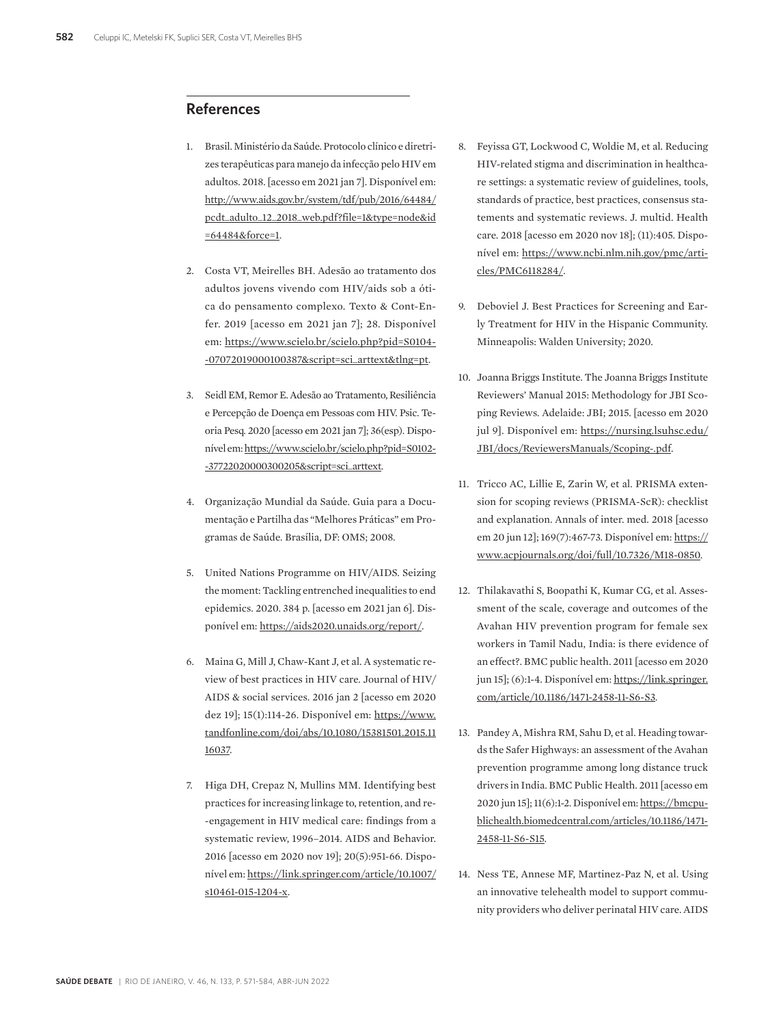### **References**

- 1. Brasil. Ministério da Saúde. Protocolo clínico e diretrizes terapêuticas para manejo da infecção pelo HIV em adultos. 2018. [acesso em 2021 jan 7]. Disponível em: http://www.aids.gov.br/system/tdf/pub/2016/64484/ pcdt\_adulto\_12\_2018\_web.pdf?file=1&type=node&id =64484&force=1.
- 2. Costa VT, Meirelles BH. Adesão ao tratamento dos adultos jovens vivendo com HIV/aids sob a ótica do pensamento complexo. Texto & Cont-Enfer. 2019 [acesso em 2021 jan 7]; 28. Disponível em: https://www.scielo.br/scielo.php?pid=S0104- -07072019000100387&script=sci\_arttext&tlng=pt.
- 3. Seidl EM, Remor E. Adesão ao Tratamento, Resiliência e Percepção de Doença em Pessoas com HIV. Psic. Teoria Pesq. 2020 [acesso em 2021 jan 7]; 36(esp). Disponível em: https://www.scielo.br/scielo.php?pid=S0102- -37722020000300205&script=sci\_arttext.
- 4. Organização Mundial da Saúde. Guia para a Documentação e Partilha das "Melhores Práticas" em Programas de Saúde. Brasília, DF: OMS; 2008.
- 5. United Nations Programme on HIV/AIDS. Seizing the moment: Tackling entrenched inequalities to end epidemics. 2020. 384 p. [acesso em 2021 jan 6]. Disponível em: https://aids2020.unaids.org/report/.
- 6. Maina G, Mill J, Chaw-Kant J, et al. A systematic review of best practices in HIV care. Journal of HIV/ AIDS & social services. 2016 jan 2 [acesso em 2020 dez 19]; 15(1):114-26. Disponível em: https://www. tandfonline.com/doi/abs/10.1080/15381501.2015.11 16037.
- 7. Higa DH, Crepaz N, Mullins MM. Identifying best practices for increasing linkage to, retention, and re- -engagement in HIV medical care: findings from a systematic review, 1996–2014. AIDS and Behavior. 2016 [acesso em 2020 nov 19]; 20(5):951-66. Disponível em: https://link.springer.com/article/10.1007/ s10461-015-1204-x.
- 8. Feyissa GT, Lockwood C, Woldie M, et al. Reducing HIV-related stigma and discrimination in healthcare settings: a systematic review of guidelines, tools, standards of practice, best practices, consensus statements and systematic reviews. J. multid. Health care. 2018 [acesso em 2020 nov 18]; (11):405. Disponível em: https://www.ncbi.nlm.nih.gov/pmc/articles/PMC6118284/.
- 9. Deboviel J. Best Practices for Screening and Early Treatment for HIV in the Hispanic Community. Minneapolis: Walden University; 2020.
- 10. Joanna Briggs Institute. The Joanna Briggs Institute Reviewers' Manual 2015: Methodology for JBI Scoping Reviews. Adelaide: JBI; 2015. [acesso em 2020 jul 9]. Disponível em: https://nursing.lsuhsc.edu/ JBI/docs/ReviewersManuals/Scoping-.pdf.
- 11. Tricco AC, Lillie E, Zarin W, et al. PRISMA extension for scoping reviews (PRISMA-ScR): checklist and explanation. Annals of inter. med. 2018 [acesso em 20 jun 12]; 169(7):467-73. Disponível em: https:// www.acpjournals.org/doi/full/10.7326/M18-0850.
- 12. Thilakavathi S, Boopathi K, Kumar CG, et al. Assessment of the scale, coverage and outcomes of the Avahan HIV prevention program for female sex workers in Tamil Nadu, India: is there evidence of an effect?. BMC public health. 2011 [acesso em 2020 jun 15]; (6):1-4. Disponível em: https://link.springer. com/article/10.1186/1471-2458-11-S6-S3.
- 13. Pandey A, Mishra RM, Sahu D, et al. Heading towards the Safer Highways: an assessment of the Avahan prevention programme among long distance truck drivers in India. BMC Public Health. 2011 [acesso em 2020 jun 15]; 11(6):1-2. Disponível em: https://bmcpublichealth.biomedcentral.com/articles/10.1186/1471- 2458-11-S6-S15.
- 14. Ness TE, Annese MF, Martinez-Paz N, et al. Using an innovative telehealth model to support community providers who deliver perinatal HIV care. AIDS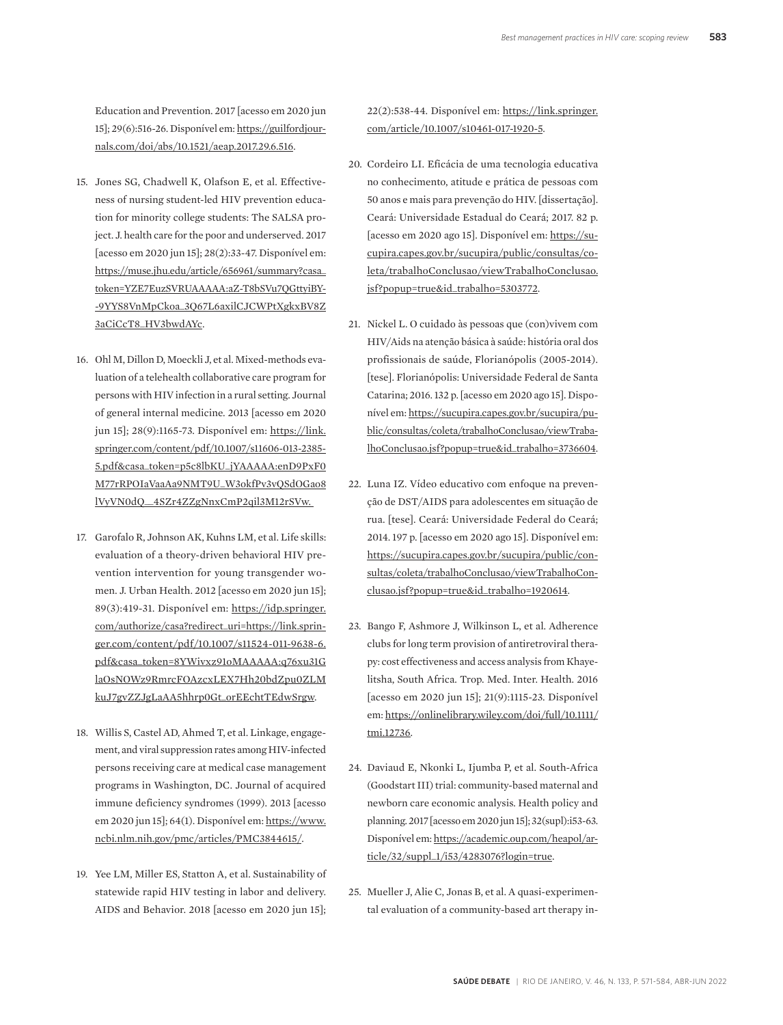Education and Prevention. 2017 [acesso em 2020 jun 15]; 29(6):516-26. Disponível em: https://guilfordjournals.com/doi/abs/10.1521/aeap.2017.29.6.516.

- 15. Jones SG, Chadwell K, Olafson E, et al. Effectiveness of nursing student-led HIV prevention education for minority college students: The SALSA project. J. health care for the poor and underserved. 2017 [acesso em 2020 jun 15]; 28(2):33-47. Disponível em: https://muse.jhu.edu/article/656961/summary?casa\_ token=YZE7EuzSVRUAAAAA:aZ-T8bSVu7QGttyiBY- -9YYS8VnMpCkoa\_3Q67L6axilCJCWPtXgkxBV8Z 3aCiCcT8\_HV3bwdAYc.
- 16. Ohl M, Dillon D, Moeckli J, et al. Mixed-methods evaluation of a telehealth collaborative care program for persons with HIV infection in a rural setting. Journal of general internal medicine. 2013 [acesso em 2020 jun 15]; 28(9):1165-73. Disponível em: https://link. springer.com/content/pdf/10.1007/s11606-013-2385- 5.pdf&casa\_token=p5c8lbKU\_jYAAAAA:enD9PxF0 M77rRPOIaVaaAa9NMT9U\_W3okfPv3vQSdOGao8 lVyVN0dQ\_\_4SZr4ZZgNnxCmP2qil3M12rSVw.
- 17. Garofalo R, Johnson AK, Kuhns LM, et al. Life skills: evaluation of a theory-driven behavioral HIV prevention intervention for young transgender women. J. Urban Health. 2012 [acesso em 2020 jun 15]; 89(3):419-31. Disponível em: https://idp.springer. com/authorize/casa?redirect\_uri=https://link.springer.com/content/pdf/10.1007/s11524-011-9638-6. pdf&casa\_token=8YWivxz91oMAAAAA:q76xu31G laOsNOWz9RmrcFOAzcxLEX7Hh20bdZpu0ZLM kuJ7gvZZJgLaAA5hhrp0Gt\_orEEchtTEdwSrgw.
- 18. Willis S, Castel AD, Ahmed T, et al. Linkage, engagement, and viral suppression rates among HIV-infected persons receiving care at medical case management programs in Washington, DC. Journal of acquired immune deficiency syndromes (1999). 2013 [acesso em 2020 jun 15]; 64(1). Disponível em: https://www. ncbi.nlm.nih.gov/pmc/articles/PMC3844615/.
- 19. Yee LM, Miller ES, Statton A, et al. Sustainability of statewide rapid HIV testing in labor and delivery. AIDS and Behavior. 2018 [acesso em 2020 jun 15];

22(2):538-44. Disponível em: https://link.springer. com/article/10.1007/s10461-017-1920-5.

- 20. Cordeiro LI. Eficácia de uma tecnologia educativa no conhecimento, atitude e prática de pessoas com 50 anos e mais para prevenção do HIV. [dissertação]. Ceará: Universidade Estadual do Ceará; 2017. 82 p. [acesso em 2020 ago 15]. Disponível em: https://sucupira.capes.gov.br/sucupira/public/consultas/coleta/trabalhoConclusao/viewTrabalhoConclusao. jsf?popup=true&id\_trabalho=5303772.
- 21. Nickel L. O cuidado às pessoas que (con)vivem com HIV/Aids na atenção básica à saúde: história oral dos profissionais de saúde, Florianópolis (2005-2014). [tese]. Florianópolis: Universidade Federal de Santa Catarina; 2016. 132 p. [acesso em 2020 ago 15]. Disponível em: https://sucupira.capes.gov.br/sucupira/public/consultas/coleta/trabalhoConclusao/viewTrabalhoConclusao.jsf?popup=true&id\_trabalho=3736604.
- 22. Luna IZ. Vídeo educativo com enfoque na prevenção de DST/AIDS para adolescentes em situação de rua. [tese]. Ceará: Universidade Federal do Ceará; 2014. 197 p. [acesso em 2020 ago 15]. Disponível em: https://sucupira.capes.gov.br/sucupira/public/consultas/coleta/trabalhoConclusao/viewTrabalhoConclusao.jsf?popup=true&id\_trabalho=1920614.
- 23. Bango F, Ashmore J, Wilkinson L, et al. Adherence clubs for long term provision of antiretroviral therapy: cost effectiveness and access analysis from Khayelitsha, South Africa. Trop. Med. Inter. Health. 2016 [acesso em 2020 jun 15]; 21(9):1115-23. Disponível em: https://onlinelibrary.wiley.com/doi/full/10.1111/ tmi.12736.
- 24. Daviaud E, Nkonki L, Ijumba P, et al. South-Africa (Goodstart III) trial: community-based maternal and newborn care economic analysis. Health policy and planning. 2017 [acesso em 2020 jun 15]; 32(supl):i53-63. Disponível em: https://academic.oup.com/heapol/article/32/suppl\_1/i53/4283076?login=true.
- 25. Mueller J, Alie C, Jonas B, et al. A quasi-experimental evaluation of a community-based art therapy in-